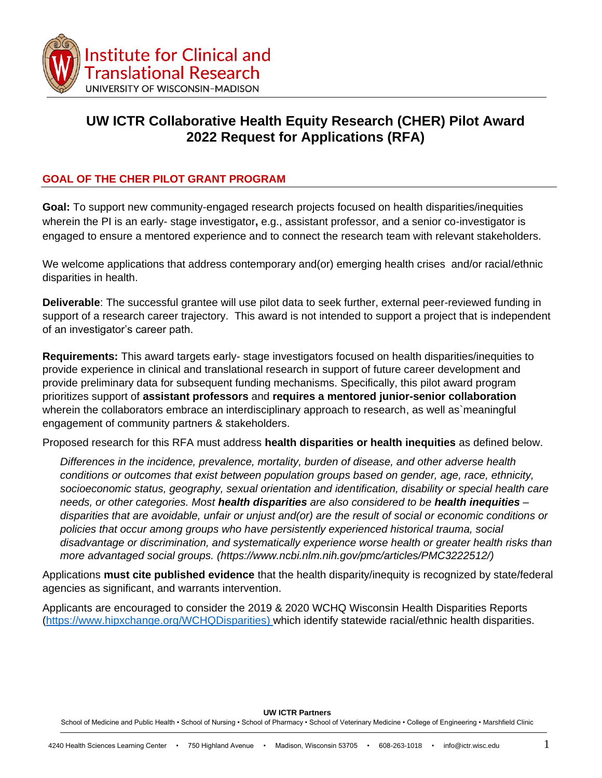

# **UW ICTR Collaborative Health Equity Research (CHER) Pilot Award 2022 Request for Applications (RFA)**

## **GOAL OF THE CHER PILOT GRANT PROGRAM**

**Goal:** To support new community-engaged research projects focused on health disparities/inequities wherein the PI is an early- stage investigator**,** e.g., assistant professor, and a senior co-investigator is engaged to ensure a mentored experience and to connect the research team with relevant stakeholders.

We welcome applications that address contemporary and(or) emerging health crises and/or racial/ethnic disparities in health.

**Deliverable**: The successful grantee will use pilot data to seek further, external peer-reviewed funding in support of a research career trajectory. This award is not intended to support a project that is independent of an investigator's career path.

**Requirements:** This award targets early- stage investigators focused on health disparities/inequities to provide experience in clinical and translational research in support of future career development and provide preliminary data for subsequent funding mechanisms. Specifically, this pilot award program prioritizes support of **assistant professors** and **requires a mentored junior-senior collaboration**  wherein the collaborators embrace an interdisciplinary approach to research, as well as meaningful engagement of community partners & stakeholders.

Proposed research for this RFA must address **health disparities or health inequities** as defined below.

*Differences in the incidence, prevalence, mortality, burden of disease, and other adverse health conditions or outcomes that exist between population groups based on gender, age, race, ethnicity, socioeconomic status, geography, sexual orientation and identification, disability or special health care needs, or other categories. Most health disparities are also considered to be health inequities – disparities that are avoidable, unfair or unjust and(or) are the result of social or economic conditions or policies that occur among groups who have persistently experienced historical trauma, social disadvantage or discrimination, and systematically experience worse health or greater health risks than more advantaged social groups. (https://www.ncbi.nlm.nih.gov/pmc/articles/PMC3222512/)*

Applications **must cite published evidence** that the health disparity/inequity is recognized by state/federal agencies as significant, and warrants intervention.

Applicants are encouraged to consider the 2019 & 2020 WCHQ Wisconsin Health Disparities Reports [\(https://www.hipxchange.org/WCHQDisparities\)](https://www.hipxchange.org/WCHQDisparities) which identify statewide racial/ethnic health disparities.

**UW ICTR Partners**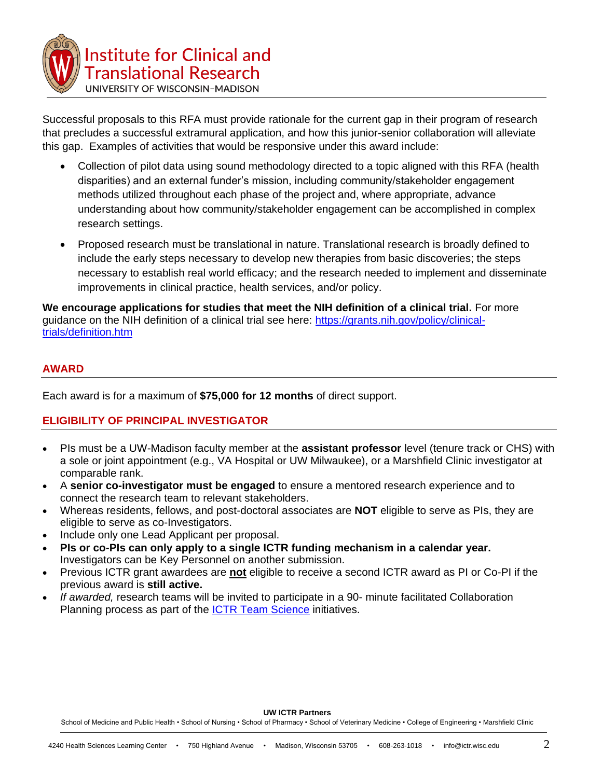

Successful proposals to this RFA must provide rationale for the current gap in their program of research that precludes a successful extramural application, and how this junior-senior collaboration will alleviate this gap. Examples of activities that would be responsive under this award include:

- Collection of pilot data using sound methodology directed to a topic aligned with this RFA (health disparities) and an external funder's mission, including community/stakeholder engagement methods utilized throughout each phase of the project and, where appropriate, advance understanding about how community/stakeholder engagement can be accomplished in complex research settings.
- Proposed research must be translational in nature. Translational research is broadly defined to include the early steps necessary to develop new therapies from basic discoveries; the steps necessary to establish real world efficacy; and the research needed to implement and disseminate improvements in clinical practice, health services, and/or policy.

**We encourage applications for studies that meet the NIH definition of a clinical trial.** For more guidance on the NIH definition of a clinical trial see here: [https://grants.nih.gov/policy/clinical](https://grants.nih.gov/policy/clinical-trials/definition.htm)[trials/definition.htm](https://grants.nih.gov/policy/clinical-trials/definition.htm)

### **AWARD**

Each award is for a maximum of **\$75,000 for 12 months** of direct support.

### **ELIGIBILITY OF PRINCIPAL INVESTIGATOR**

- PIs must be a UW-Madison faculty member at the **assistant professor** level (tenure track or CHS) with a sole or joint appointment (e.g., VA Hospital or UW Milwaukee), or a Marshfield Clinic investigator at comparable rank.
- A **senior co-investigator must be engaged** to ensure a mentored research experience and to connect the research team to relevant stakeholders.
- Whereas residents, fellows, and post-doctoral associates are **NOT** eligible to serve as PIs, they are eligible to serve as co-Investigators.
- Include only one Lead Applicant per proposal.
- **PIs or co-PIs can only apply to a single ICTR funding mechanism in a calendar year.**  Investigators can be Key Personnel on another submission.
- Previous ICTR grant awardees are **not** eligible to receive a second ICTR award as PI or Co-PI if the previous award is **still active.**
- *If awarded,* research teams will be invited to participate in a 90- minute facilitated Collaboration Planning process as part of the **ICTR Team Science** initiatives.

**UW ICTR Partners**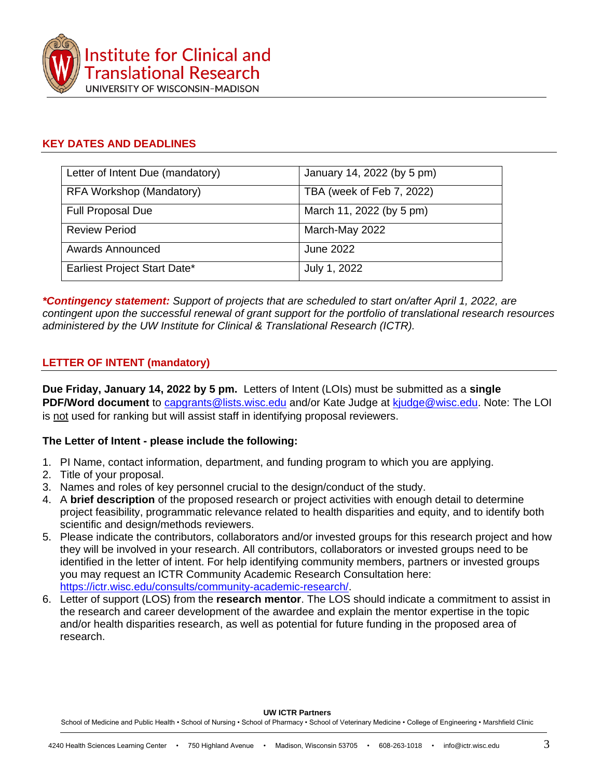

## **KEY DATES AND DEADLINES**

| Letter of Intent Due (mandatory) | January 14, 2022 (by 5 pm) |
|----------------------------------|----------------------------|
| RFA Workshop (Mandatory)         | TBA (week of Feb 7, 2022)  |
| <b>Full Proposal Due</b>         | March 11, 2022 (by 5 pm)   |
| <b>Review Period</b>             | March-May 2022             |
| <b>Awards Announced</b>          | June 2022                  |
| Earliest Project Start Date*     | July 1, 2022               |

*\*Contingency statement: Support of projects that are scheduled to start on/after April 1, 2022, are contingent upon the successful renewal of grant support for the portfolio of translational research resources administered by the UW Institute for Clinical & Translational Research (ICTR).*

## **LETTER OF INTENT (mandatory)**

**Due Friday, January 14, 2022 by 5 pm.** Letters of Intent (LOIs) must be submitted as a **single PDF/Word document** to [capgrants@lists.wisc.edu](mailto:capgrants@lists.wisc.edu) and/or Kate Judge at [kjudge@wisc.edu.](mailto:kjudge@wisc.edu) Note: The LOI is not used for ranking but will assist staff in identifying proposal reviewers.

## **The Letter of Intent - please include the following:**

- 1. PI Name, contact information, department, and funding program to which you are applying.
- 2. Title of your proposal.
- 3. Names and roles of key personnel crucial to the design/conduct of the study.
- 4. A **brief description** of the proposed research or project activities with enough detail to determine project feasibility, programmatic relevance related to health disparities and equity, and to identify both scientific and design/methods reviewers.
- 5. Please indicate the contributors, collaborators and/or invested groups for this research project and how they will be involved in your research. All contributors, collaborators or invested groups need to be identified in the letter of intent. For help identifying community members, partners or invested groups you may request an ICTR Community Academic Research Consultation here: [https://ictr.wisc.edu/consults/community-academic-research/.](https://ictr.wisc.edu/consults/community-academic-research/)
- 6. Letter of support (LOS) from the **research mentor**. The LOS should indicate a commitment to assist in the research and career development of the awardee and explain the mentor expertise in the topic and/or health disparities research, as well as potential for future funding in the proposed area of research.

**UW ICTR Partners**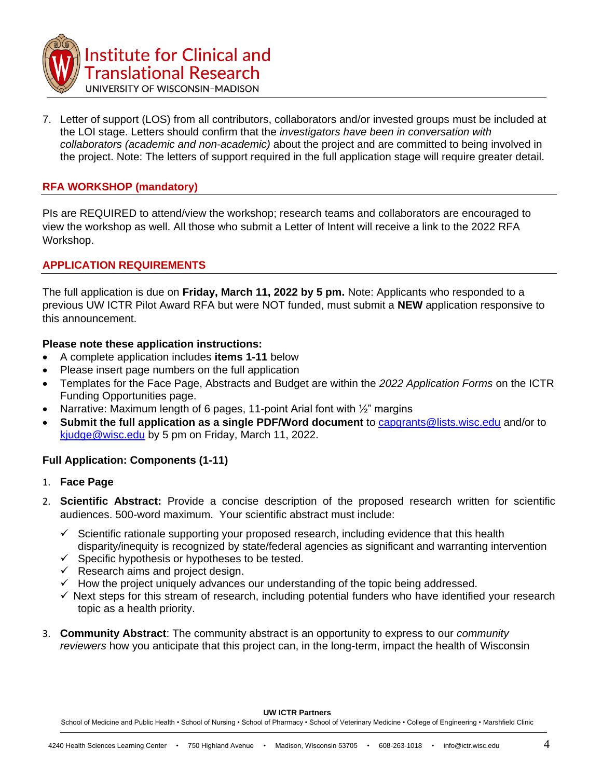

7. Letter of support (LOS) from all contributors, collaborators and/or invested groups must be included at the LOI stage. Letters should confirm that the *investigators have been in conversation with collaborators (academic and non-academic)* about the project and are committed to being involved in the project. Note: The letters of support required in the full application stage will require greater detail.

## **RFA WORKSHOP (mandatory)**

PIs are REQUIRED to attend/view the workshop; research teams and collaborators are encouraged to view the workshop as well. All those who submit a Letter of Intent will receive a link to the 2022 RFA Workshop.

## **APPLICATION REQUIREMENTS**

The full application is due on **Friday, March 11, 2022 by 5 pm.** Note: Applicants who responded to a previous UW ICTR Pilot Award RFA but were NOT funded, must submit a **NEW** application responsive to this announcement.

### **Please note these application instructions:**

- A complete application includes **items 1-11** below
- Please insert page numbers on the full application
- Templates for the Face Page, Abstracts and Budget are within the *2022 Application Forms* on the ICTR Funding Opportunities page.
- Narrative: Maximum length of 6 pages, 11-point Arial font with  $\frac{1}{2}$ " margins
- **Submit the full application as a single PDF/Word document** to [capgrants@lists.wisc.edu](mailto:capgrants@lists.wisc.edu) and/or to [kjudge@wisc.edu](mailto:kjudge@wisc.edu) by 5 pm on Friday, March 11, 2022.

### **Full Application: Components (1-11)**

### 1. **Face Page**

- 2. **Scientific Abstract:** Provide a concise description of the proposed research written for scientific audiences. 500-word maximum. Your scientific abstract must include:
	- $\checkmark$  Scientific rationale supporting your proposed research, including evidence that this health disparity/inequity is recognized by state/federal agencies as significant and warranting intervention
	- $\checkmark$  Specific hypothesis or hypotheses to be tested.
	- $\checkmark$  Research aims and project design.
	- $\checkmark$  How the project uniquely advances our understanding of the topic being addressed.
	- $\checkmark$  Next steps for this stream of research, including potential funders who have identified your research topic as a health priority.
- 3. **Community Abstract**: The community abstract is an opportunity to express to our *community reviewers* how you anticipate that this project can, in the long-term, impact the health of Wisconsin

#### **UW ICTR Partners**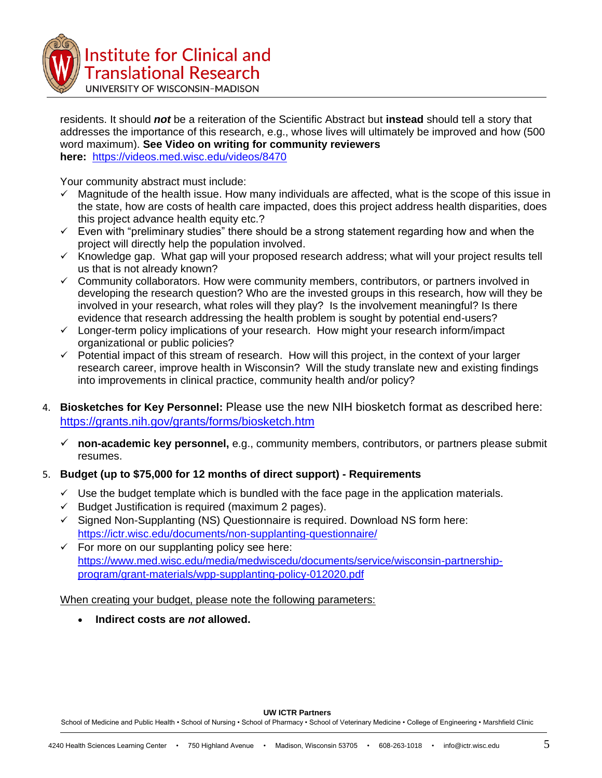

**Institute for Clinical and Translational Research** 

UNIVERSITY OF WISCONSIN-MADISON

residents. It should *not* be a reiteration of the Scientific Abstract but **instead** should tell a story that addresses the importance of this research, e.g., whose lives will ultimately be improved and how (500 word maximum). **See Video on writing for community reviewers here:** <https://videos.med.wisc.edu/videos/8470>

Your community abstract must include:

- $\checkmark$  Magnitude of the health issue. How many individuals are affected, what is the scope of this issue in the state, how are costs of health care impacted, does this project address health disparities, does this project advance health equity etc.?
- $\checkmark$  Even with "preliminary studies" there should be a strong statement regarding how and when the project will directly help the population involved.
- $\times$  Knowledge gap. What gap will your proposed research address; what will your project results tell us that is not already known?
- $\checkmark$  Community collaborators. How were community members, contributors, or partners involved in developing the research question? Who are the invested groups in this research, how will they be involved in your research, what roles will they play? Is the involvement meaningful? Is there evidence that research addressing the health problem is sought by potential end-users?
- $\checkmark$  Longer-term policy implications of your research. How might your research inform/impact organizational or public policies?
- $\checkmark$  Potential impact of this stream of research. How will this project, in the context of your larger research career, improve health in Wisconsin? Will the study translate new and existing findings into improvements in clinical practice, community health and/or policy?
- 4. **Biosketches for Key Personnel:** Please use the new NIH biosketch format as described here: <https://grants.nih.gov/grants/forms/biosketch.htm>
	- **non-academic key personnel,** e.g., community members, contributors, or partners please submit resumes.

## 5. **Budget (up to \$75,000 for 12 months of direct support) - Requirements**

- $\checkmark$  Use the budget template which is bundled with the face page in the application materials.
- $\checkmark$  Budget Justification is required (maximum 2 pages).
- $\checkmark$  Signed Non-Supplanting (NS) Questionnaire is required. Download NS form here: <https://ictr.wisc.edu/documents/non-supplanting-questionnaire/>
- $\checkmark$  For more on our supplanting policy see here: [https://www.med.wisc.edu/media/medwiscedu/documents/service/wisconsin-partnership](https://www.med.wisc.edu/media/medwiscedu/documents/service/wisconsin-partnership-program/grant-materials/wpp-supplanting-policy-012020.pdf)[program/grant-materials/wpp-supplanting-policy-012020.pdf](https://www.med.wisc.edu/media/medwiscedu/documents/service/wisconsin-partnership-program/grant-materials/wpp-supplanting-policy-012020.pdf)

When creating your budget, please note the following parameters:

**Indirect costs are** *not* **allowed.** 

#### **UW ICTR Partners**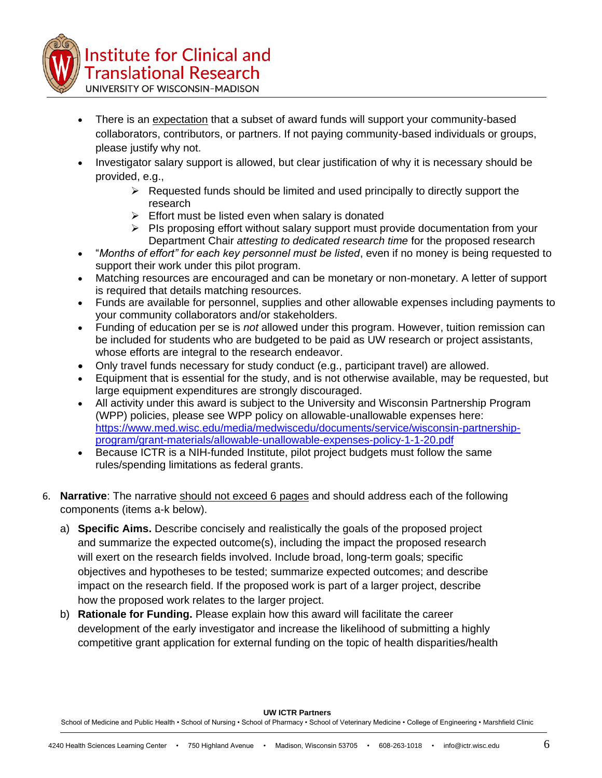

UNIVERSITY OF WISCONSIN-MADISON

- There is an expectation that a subset of award funds will support your community-based collaborators, contributors, or partners. If not paying community-based individuals or groups, please justify why not.
- Investigator salary support is allowed, but clear justification of why it is necessary should be provided, e.g.,
	- $\triangleright$  Requested funds should be limited and used principally to directly support the research
	- $\triangleright$  Effort must be listed even when salary is donated
	- $\triangleright$  PIs proposing effort without salary support must provide documentation from your Department Chair *attesting to dedicated research time* for the proposed research
- "*Months of effort" for each key personnel must be listed*, even if no money is being requested to support their work under this pilot program.
- Matching resources are encouraged and can be monetary or non-monetary. A letter of support is required that details matching resources.
- Funds are available for personnel, supplies and other allowable expenses including payments to your community collaborators and/or stakeholders.
- Funding of education per se is *not* allowed under this program. However, tuition remission can be included for students who are budgeted to be paid as UW research or project assistants, whose efforts are integral to the research endeavor.
- Only travel funds necessary for study conduct (e.g., participant travel) are allowed.
- Equipment that is essential for the study, and is not otherwise available, may be requested, but large equipment expenditures are strongly discouraged.
- All activity under this award is subject to the University and Wisconsin Partnership Program (WPP) policies, please see WPP policy on allowable-unallowable expenses here: [https://www.med.wisc.edu/media/medwiscedu/documents/service/wisconsin-partnership](https://www.med.wisc.edu/media/medwiscedu/documents/service/wisconsin-partnership-program/grant-materials/allowable-unallowable-expenses-policy-1-1-20.pdf)[program/grant-materials/allowable-unallowable-expenses-policy-1-1-20.pdf](https://www.med.wisc.edu/media/medwiscedu/documents/service/wisconsin-partnership-program/grant-materials/allowable-unallowable-expenses-policy-1-1-20.pdf)
- Because ICTR is a NIH-funded Institute, pilot project budgets must follow the same rules/spending limitations as federal grants.
- 6. **Narrative**: The narrative should not exceed 6 pages and should address each of the following components (items a-k below).
	- a) **Specific Aims.** Describe concisely and realistically the goals of the proposed project and summarize the expected outcome(s), including the impact the proposed research will exert on the research fields involved. Include broad, long-term goals; specific objectives and hypotheses to be tested; summarize expected outcomes; and describe impact on the research field. If the proposed work is part of a larger project, describe how the proposed work relates to the larger project.
	- b) **Rationale for Funding.** Please explain how this award will facilitate the career development of the early investigator and increase the likelihood of submitting a highly competitive grant application for external funding on the topic of health disparities/health

**UW ICTR Partners**

School of Medicine and Public Health • School of Nursing • School of Pharmacy • School of Veterinary Medicine • College of Engineering • Marshfield Clinic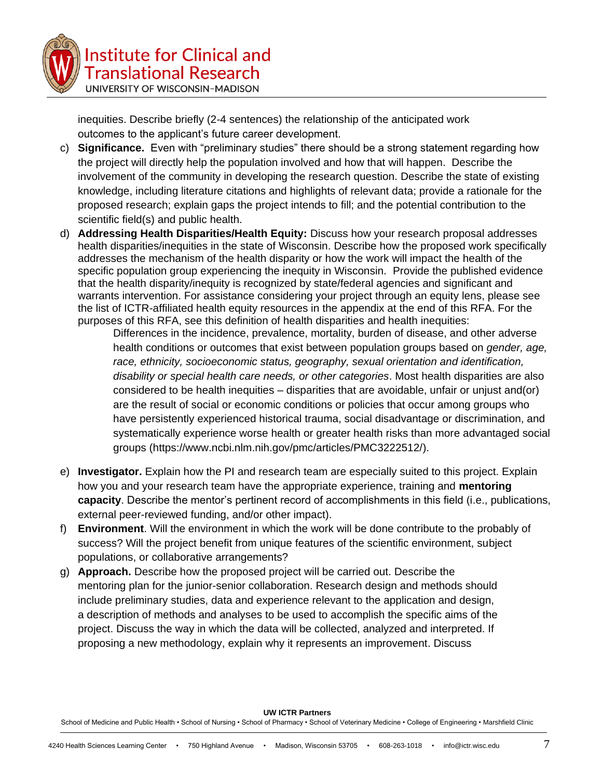

**Institute for Clinical and Translational Research** UNIVERSITY OF WISCONSIN-MADISON

inequities. Describe briefly (2-4 sentences) the relationship of the anticipated work outcomes to the applicant's future career development.

- c) **Significance.** Even with "preliminary studies" there should be a strong statement regarding how the project will directly help the population involved and how that will happen. Describe the involvement of the community in developing the research question. Describe the state of existing knowledge, including literature citations and highlights of relevant data; provide a rationale for the proposed research; explain gaps the project intends to fill; and the potential contribution to the scientific field(s) and public health.
- d) **Addressing Health Disparities/Health Equity:** Discuss how your research proposal addresses health disparities/inequities in the state of Wisconsin. Describe how the proposed work specifically addresses the mechanism of the health disparity or how the work will impact the health of the specific population group experiencing the inequity in Wisconsin. Provide the published evidence that the health disparity/inequity is recognized by state/federal agencies and significant and warrants intervention. For assistance considering your project through an equity lens, please see the list of ICTR-affiliated health equity resources in the appendix at the end of this RFA. For the purposes of this RFA, see this definition of health disparities and health inequities:

Differences in the incidence, prevalence, mortality, burden of disease, and other adverse health conditions or outcomes that exist between population groups based on *gender, age, race, ethnicity, socioeconomic status, geography, sexual orientation and identification, disability or special health care needs, or other categories*. Most health disparities are also considered to be health inequities – disparities that are avoidable, unfair or unjust and(or) are the result of social or economic conditions or policies that occur among groups who have persistently experienced historical trauma, social disadvantage or discrimination, and systematically experience worse health or greater health risks than more advantaged social groups (https://www.ncbi.nlm.nih.gov/pmc/articles/PMC3222512/).

- e) **Investigator.** Explain how the PI and research team are especially suited to this project. Explain how you and your research team have the appropriate experience, training and **mentoring capacity**. Describe the mentor's pertinent record of accomplishments in this field (i.e., publications, external peer-reviewed funding, and/or other impact).
- f) **Environment**. Will the environment in which the work will be done contribute to the probably of success? Will the project benefit from unique features of the scientific environment, subject populations, or collaborative arrangements?
- g) **Approach.** Describe how the proposed project will be carried out. Describe the mentoring plan for the junior-senior collaboration. Research design and methods should include preliminary studies, data and experience relevant to the application and design, a description of methods and analyses to be used to accomplish the specific aims of the project. Discuss the way in which the data will be collected, analyzed and interpreted. If proposing a new methodology, explain why it represents an improvement. Discuss

**UW ICTR Partners**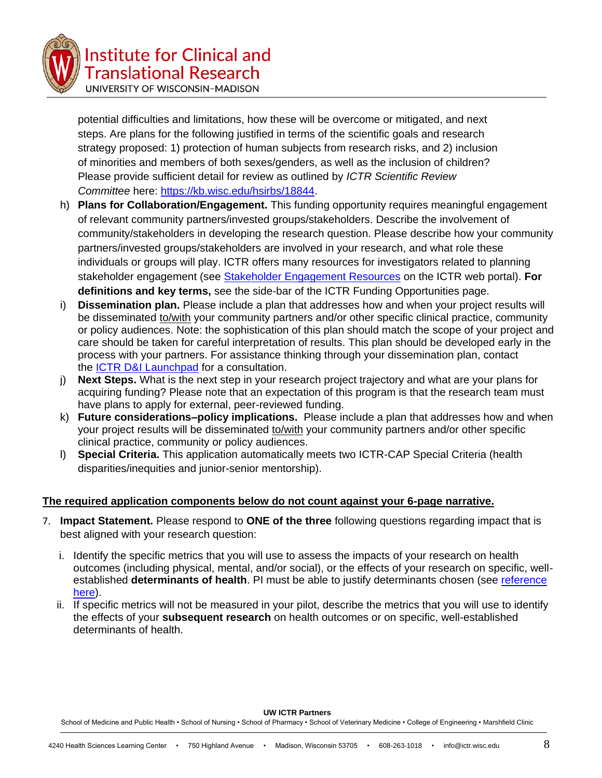

**Institute for Clinical and Translational Research** 

UNIVERSITY OF WISCONSIN-MADISON

potential difficulties and limitations, how these will be overcome or mitigated, and next steps. Are plans for the following justified in terms of the scientific goals and research strategy proposed: 1) protection of human subjects from research risks, and 2) inclusion of minorities and members of both sexes/genders, as well as the inclusion of children? Please provide sufficient detail for review as outlined by *ICTR Scientific Review Committee* here: [https://kb.wisc.edu/hsirbs/18844.](https://kb.wisc.edu/hsirbs/18844)

- h) **Plans for Collaboration/Engagement.** This funding opportunity requires meaningful engagement of relevant community partners/invested groups/stakeholders. Describe the involvement of community/stakeholders in developing the research question. Please describe how your community partners/invested groups/stakeholders are involved in your research, and what role these individuals or groups will play. ICTR offers many resources for investigators related to planning stakeholder engagement (see Stakeholder [Engagement](https://ictr.wisc.edu/stakeholder-engagement-resources/) Resources on the ICTR web portal). **For definitions and key terms,** see the side-bar of the ICTR Funding Opportunities page.
- i) **Dissemination plan.** Please include a plan that addresses how and when your project results will be disseminated to/with your community partners and/or other specific clinical practice, community or policy audiences. Note: the sophistication of this plan should match the scope of your project and care should be taken for careful interpretation of results. This plan should be developed early in the process with your partners. For assistance thinking through your dissemination plan, contact the ICTR D&I [Launchpad](https://ictr.wisc.edu/dissemination-implementation/) for a consultation.
- j) **Next Steps.** What is the next step in your research project trajectory and what are your plans for acquiring funding? Please note that an expectation of this program is that the research team must have plans to apply for external, peer-reviewed funding.
- k) **Future considerations–policy implications.** Please include a plan that addresses how and when your project results will be disseminated to/with your community partners and/or other specific clinical practice, community or policy audiences.
- l) **Special Criteria.** This application automatically meets two ICTR-CAP Special Criteria (health disparities/inequities and junior-senior mentorship).

## **The required application components below do not count against your 6-page narrative.**

- 7. **Impact Statement.** Please respond to **ONE of the three** following questions regarding impact that is best aligned with your research question:
	- i. Identify the specific metrics that you will use to assess the impacts of your research on health outcomes (including physical, mental, and/or social), or the effects of your research on specific, wellestablished **determinants of health**. PI must be able to justify determinants chosen (see [reference](https://www.healthypeople.gov/2020/about/foundation-health-measures/Determinants-of-Health)  [here\)](https://www.healthypeople.gov/2020/about/foundation-health-measures/Determinants-of-Health).
	- ii. If specific metrics will not be measured in your pilot, describe the metrics that you will use to identify the effects of your **subsequent research** on health outcomes or on specific, well-established determinants of health.

**UW ICTR Partners**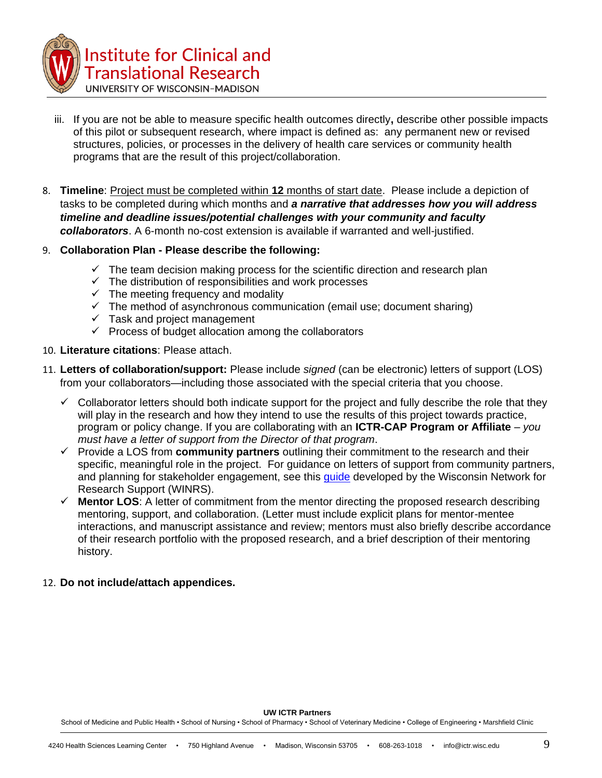

- iii. If you are not be able to measure specific health outcomes directly**,** describe other possible impacts of this pilot or subsequent research, where impact is defined as: any permanent new or revised structures, policies, or processes in the delivery of health care services or community health programs that are the result of this project/collaboration.
- 8. **Timeline**: Project must be completed within **12** months of start date. Please include a depiction of tasks to be completed during which months and *a narrative that addresses how you will address timeline and deadline issues/potential challenges with your community and faculty collaborators*. A 6-month no-cost extension is available if warranted and well-justified.
- 9. **Collaboration Plan - Please describe the following:**
	- $\checkmark$  The team decision making process for the scientific direction and research plan
	- $\checkmark$  The distribution of responsibilities and work processes
	- $\checkmark$  The meeting frequency and modality
	- $\checkmark$  The method of asynchronous communication (email use; document sharing)
	- $\checkmark$  Task and project management
	- $\checkmark$  Process of budget allocation among the collaborators
- 10. **Literature citations**: Please attach.
- 11. **Letters of collaboration/support:** Please include *signed* (can be electronic) letters of support (LOS) from your collaborators—including those associated with the special criteria that you choose.
	- $\checkmark$  Collaborator letters should both indicate support for the project and fully describe the role that they will play in the research and how they intend to use the results of this project towards practice, program or policy change. If you are collaborating with an **ICTR-CAP Program or Affiliate** – *you must have a letter of support from the Director of that program*.
	- Provide a LOS from **community partners** outlining their commitment to the research and their specific, meaningful role in the project. For guidance on letters of support from community partners, and planning for stakeholder engagement, see this *quide* developed by the Wisconsin Network for Research Support (WINRS).
	- **Mentor LOS**: A letter of commitment from the mentor directing the proposed research describing mentoring, support, and collaboration. (Letter must include explicit plans for mentor-mentee interactions, and manuscript assistance and review; mentors must also briefly describe accordance of their research portfolio with the proposed research, and a brief description of their mentoring history.

### 12. **Do not include/attach appendices.**

**UW ICTR Partners**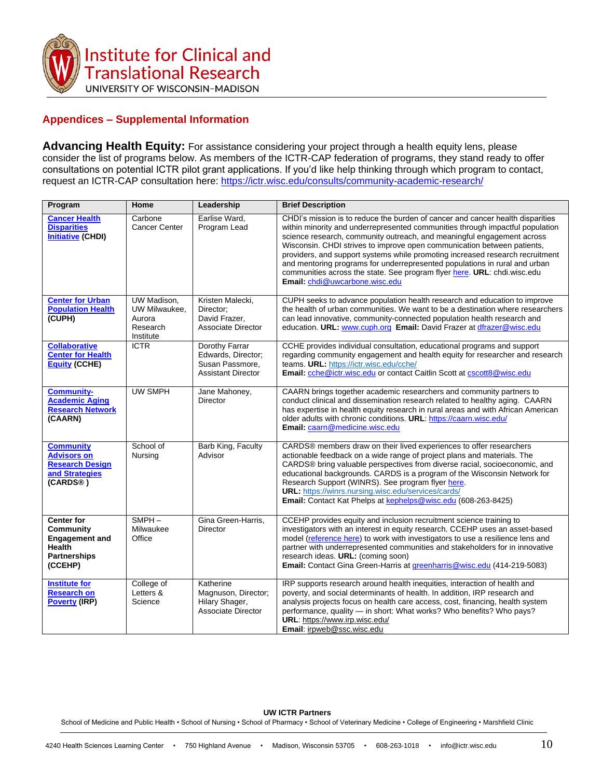

## **Appendices – Supplemental Information**

**Advancing Health Equity:** For assistance considering your project through a health equity lens, please consider the list of programs below. As members of the ICTR-CAP federation of programs, they stand ready to offer consultations on potential ICTR pilot grant applications. If you'd like help thinking through which program to contact, request an ICTR-CAP consultation here:<https://ictr.wisc.edu/consults/community-academic-research/>

| Program                                                                                                           | Home                                                            | Leadership                                                                           | <b>Brief Description</b>                                                                                                                                                                                                                                                                                                                                                                                                                                                                                                                                                                          |
|-------------------------------------------------------------------------------------------------------------------|-----------------------------------------------------------------|--------------------------------------------------------------------------------------|---------------------------------------------------------------------------------------------------------------------------------------------------------------------------------------------------------------------------------------------------------------------------------------------------------------------------------------------------------------------------------------------------------------------------------------------------------------------------------------------------------------------------------------------------------------------------------------------------|
| <b>Cancer Health</b><br><b>Disparities</b><br><b>Initiative (CHDI)</b>                                            | Carbone<br><b>Cancer Center</b>                                 | Earlise Ward,<br>Program Lead                                                        | CHDI's mission is to reduce the burden of cancer and cancer health disparities<br>within minority and underrepresented communities through impactful population<br>science research, community outreach, and meaningful engagement across<br>Wisconsin. CHDI strives to improve open communication between patients,<br>providers, and support systems while promoting increased research recruitment<br>and mentoring programs for underrepresented populations in rural and urban<br>communities across the state. See program flyer here. URL: chdi.wisc.edu<br>Email: chdi@uwcarbone.wisc.edu |
| <b>Center for Urban</b><br><b>Population Health</b><br>(CUPH)                                                     | UW Madison,<br>UW Milwaukee.<br>Aurora<br>Research<br>Institute | Kristen Malecki,<br>Director:<br>David Frazer,<br>Associate Director                 | CUPH seeks to advance population health research and education to improve<br>the health of urban communities. We want to be a destination where researchers<br>can lead innovative, community-connected population health research and<br>education. URL: www.cuph.org Email: David Frazer at dfrazer@wisc.edu                                                                                                                                                                                                                                                                                    |
| <b>Collaborative</b><br><b>Center for Health</b><br><b>Equity (CCHE)</b>                                          | $\overline{ICTR}$                                               | Dorothy Farrar<br>Edwards, Director;<br>Susan Passmore,<br><b>Assistant Director</b> | CCHE provides individual consultation, educational programs and support<br>regarding community engagement and health equity for researcher and research<br>teams. URL: https://ictr.wisc.edu/cche/<br>Email: cche@ictr.wisc.edu or contact Caitlin Scott at cscott8@wisc.edu                                                                                                                                                                                                                                                                                                                      |
| <b>Community-</b><br><b>Academic Aging</b><br><b>Research Network</b><br>(CAARN)                                  | <b>UW SMPH</b>                                                  | Jane Mahoney,<br><b>Director</b>                                                     | CAARN brings together academic researchers and community partners to<br>conduct clinical and dissemination research related to healthy aging. CAARN<br>has expertise in health equity research in rural areas and with African American<br>older adults with chronic conditions. URL: https://caarn.wisc.edu/<br>Email: caarn@medicine.wisc.edu                                                                                                                                                                                                                                                   |
| <b>Community</b><br><b>Advisors on</b><br><b>Research Design</b><br>and Strategies<br>(CARDS®)                    | School of<br>Nursing                                            | Barb King, Faculty<br>Advisor                                                        | CARDS® members draw on their lived experiences to offer researchers<br>actionable feedback on a wide range of project plans and materials. The<br>CARDS® bring valuable perspectives from diverse racial, socioeconomic, and<br>educational backgrounds. CARDS is a program of the Wisconsin Network for<br>Research Support (WINRS). See program flyer here.<br><b>URL:</b> https://winrs.nursing.wisc.edu/services/cards/<br>Email: Contact Kat Phelps at kephelps@wisc.edu (608-263-8425)                                                                                                      |
| <b>Center for</b><br><b>Community</b><br><b>Engagement and</b><br><b>Health</b><br><b>Partnerships</b><br>(CCEHP) | $SMPH -$<br>Milwaukee<br>Office                                 | Gina Green-Harris,<br>Director                                                       | CCEHP provides equity and inclusion recruitment science training to<br>investigators with an interest in equity research. CCEHP uses an asset-based<br>model (reference here) to work with investigators to use a resilience lens and<br>partner with underrepresented communities and stakeholders for in innovative<br>research ideas. URL: (coming soon)<br>Email: Contact Gina Green-Harris at greenharris@wisc.edu (414-219-5083)                                                                                                                                                            |
| <b>Institute for</b><br><b>Research on</b><br><b>Poverty (IRP)</b>                                                | College of<br>Letters &<br>Science                              | Katherine<br>Magnuson, Director;<br>Hilary Shager,<br><b>Associate Director</b>      | IRP supports research around health inequities, interaction of health and<br>poverty, and social determinants of health. In addition, IRP research and<br>analysis projects focus on health care access, cost, financing, health system<br>performance, quality - in short: What works? Who benefits? Who pays?<br>URL: https://www.irp.wisc.edu/<br>Email: irpweb@ssc.wisc.edu                                                                                                                                                                                                                   |

#### **UW ICTR Partners**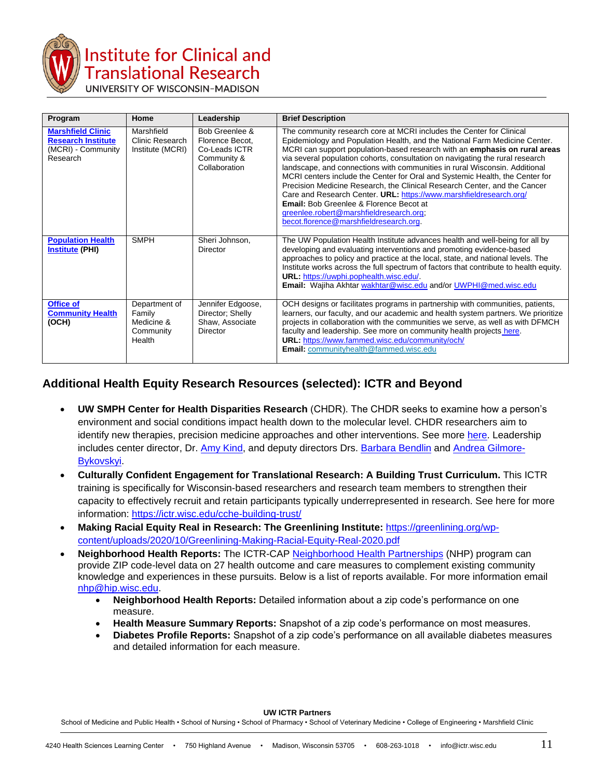

# nstitute for Clinical and **Translational Research**

| Program                                                                                 | Home                                                         | Leadership                                                                         | <b>Brief Description</b>                                                                                                                                                                                                                                                                                                                                                                                                                                                                                                                                                                                                                                                                                                                                                  |  |
|-----------------------------------------------------------------------------------------|--------------------------------------------------------------|------------------------------------------------------------------------------------|---------------------------------------------------------------------------------------------------------------------------------------------------------------------------------------------------------------------------------------------------------------------------------------------------------------------------------------------------------------------------------------------------------------------------------------------------------------------------------------------------------------------------------------------------------------------------------------------------------------------------------------------------------------------------------------------------------------------------------------------------------------------------|--|
| <b>Marshfield Clinic</b><br><b>Research Institute</b><br>(MCRI) - Community<br>Research | Marshfield<br>Clinic Research<br>Institute (MCRI)            | Bob Greenlee &<br>Florence Becot,<br>Co-Leads ICTR<br>Community &<br>Collaboration | The community research core at MCRI includes the Center for Clinical<br>Epidemiology and Population Health, and the National Farm Medicine Center.<br>MCRI can support population-based research with an emphasis on rural areas<br>via several population cohorts, consultation on navigating the rural research<br>landscape, and connections with communities in rural Wisconsin. Additional<br>MCRI centers include the Center for Oral and Systemic Health, the Center for<br>Precision Medicine Research, the Clinical Research Center, and the Cancer<br>Care and Research Center. URL: https://www.marshfieldresearch.org/<br><b>Email:</b> Bob Greenlee & Florence Becot at<br>greenlee.robert@marshfieldresearch.org;<br>becot.florence@marshfieldresearch.org. |  |
| <b>Population Health</b><br><b>Institute (PHI)</b>                                      | <b>SMPH</b>                                                  | Sheri Johnson,<br>Director                                                         | The UW Population Health Institute advances health and well-being for all by<br>developing and evaluating interventions and promoting evidence-based<br>approaches to policy and practice at the local, state, and national levels. The<br>Institute works across the full spectrum of factors that contribute to health equity.<br>URL: https://uwphi.pophealth.wisc.edu/.<br>Email: Wajiha Akhtar wakhtar@wisc.edu and/or UWPHI@med.wisc.edu                                                                                                                                                                                                                                                                                                                            |  |
| <b>Office of</b><br><b>Community Health</b><br>(OCH)                                    | Department of<br>Family<br>Medicine &<br>Community<br>Health | Jennifer Edgoose,<br>Director; Shelly<br>Shaw, Associate<br>Director               | OCH designs or facilitates programs in partnership with communities, patients,<br>learners, our faculty, and our academic and health system partners. We prioritize<br>projects in collaboration with the communities we serve, as well as with DFMCH<br>faculty and leadership. See more on community health projects here.<br><b>URL: https://www.fammed.wisc.edu/community/och/</b><br>Email: communityhealth@fammed.wisc.edu                                                                                                                                                                                                                                                                                                                                          |  |

## **Additional Health Equity Research Resources (selected): ICTR and Beyond**

- **UW SMPH Center for Health Disparities Research** (CHDR). The CHDR seeks to examine how a person's environment and social conditions impact health down to the molecular level. CHDR researchers aim to identify new therapies, precision medicine approaches and other interventions. See more [here.](https://www.med.wisc.edu/news-and-events/2021/may/uw-creates-center-for-health-disparities-research/?fbclid=IwAR3XRUTOVhxj0b2pVmS5-TEMC7buQccdUnbHX4CBTGqJJv6rFo5WlInj3oo) Leadership includes center director, Dr. [Amy Kind,](https://www.medicine.wisc.edu/people-search/people/staff/537/KIND_AMY_JO) and deputy directors Drs. [Barbara Bendlin](https://www.medicine.wisc.edu/people-search/people/staff/643/Bendlin_Barbara) and [Andrea Gilmore-](https://nursing.wisc.edu/staff/gilmore-bykovskyi-andrea/)[Bykovskyi.](https://nursing.wisc.edu/staff/gilmore-bykovskyi-andrea/)
- **Culturally Confident Engagement for Translational Research: A Building Trust Curriculum.** This ICTR training is specifically for Wisconsin-based researchers and research team members to strengthen their capacity to effectively recruit and retain participants typically underrepresented in research. See here for more information:<https://ictr.wisc.edu/cche-building-trust/>
- **Making Racial Equity Real in Research: The Greenlining Institute:** [https://greenlining.org/wp](https://greenlining.org/wp-content/uploads/2020/10/Greenlining-Making-Racial-Equity-Real-2020.pdf)[content/uploads/2020/10/Greenlining-Making-Racial-Equity-Real-2020.pdf](https://greenlining.org/wp-content/uploads/2020/10/Greenlining-Making-Racial-Equity-Real-2020.pdf)
- **Neighborhood Health Reports:** The ICTR-CAP [Neighborhood Health Partnerships](https://nhp.wisc.edu/) (NHP) program can provide ZIP code-level data on 27 health outcome and care measures to complement existing community knowledge and experiences in these pursuits. Below is a list of reports available. For more information email [nhp@hip.wisc.edu.](mailto:nhp@hip.wisc.edu)
	- **Neighborhood Health Reports:** Detailed information about a zip code's performance on one measure.
	- **Health Measure Summary Reports:** Snapshot of a zip code's performance on most measures.
	- **Diabetes Profile Reports:** Snapshot of a zip code's performance on all available diabetes measures and detailed information for each measure.

**UW ICTR Partners**